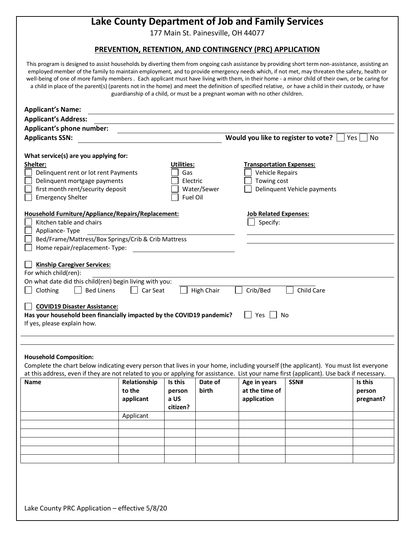# **Lake County Department of Job and Family Services**

177 Main St. Painesville, OH 44077

# **PREVENTION, RETENTION, AND CONTINGENCY (PRC) APPLICATION**

This program is designed to assist households by diverting them from ongoing cash assistance by providing short term non-assistance, assisting an employed member of the family to maintain employment, and to provide emergency needs which, if not met, may threaten the safety, health or well-being of one of more family members . Each applicant must have living with them, in their home - a minor child of their own, or be caring for a child in place of the parent(s) (parents not in the home) and meet the definition of specified relative, or have a child in their custody, or have guardianship of a child, or must be a pregnant woman with no other children.

| <b>Applicant's Name:</b>                                                                                                                                                                                                                                                                                                                                                                                   |                     |                                           |             |                                                                   |                             |                     |  |  |
|------------------------------------------------------------------------------------------------------------------------------------------------------------------------------------------------------------------------------------------------------------------------------------------------------------------------------------------------------------------------------------------------------------|---------------------|-------------------------------------------|-------------|-------------------------------------------------------------------|-----------------------------|---------------------|--|--|
| <b>Applicant's Address:</b>                                                                                                                                                                                                                                                                                                                                                                                |                     |                                           |             |                                                                   |                             |                     |  |  |
| Applicant's phone number:                                                                                                                                                                                                                                                                                                                                                                                  |                     |                                           |             |                                                                   |                             |                     |  |  |
| <b>Applicants SSN:</b>                                                                                                                                                                                                                                                                                                                                                                                     |                     |                                           |             | Would you like to register to vote?<br>No<br>Yes                  |                             |                     |  |  |
| What service(s) are you applying for:<br>Shelter:<br>Delinquent rent or lot rent Payments<br>Delinquent mortgage payments<br>first month rent/security deposit<br><b>Emergency Shelter</b>                                                                                                                                                                                                                 |                     | Utilities:<br>Gas<br>Electric<br>Fuel Oil | Water/Sewer | <b>Transportation Expenses:</b><br>Vehicle Repairs<br>Towing cost | Delinquent Vehicle payments |                     |  |  |
| Household Furniture/Appliance/Repairs/Replacement:<br>Kitchen table and chairs<br>Appliance-Type<br>Bed/Frame/Mattress/Box Springs/Crib & Crib Mattress<br>Home repair/replacement-Type:                                                                                                                                                                                                                   |                     |                                           |             | <b>Job Related Expenses:</b><br>Specify:                          |                             |                     |  |  |
| <b>Kinship Caregiver Services:</b><br>For which child(ren):<br>On what date did this child(ren) begin living with you:<br>Crib/Bed<br>Child Care<br><b>Bed Linens</b><br>High Chair<br>Clothing<br>Car Seat<br><b>COVID19 Disaster Assistance:</b><br>Has your household been financially impacted by the COVID19 pandemic?<br>Yes I<br>No                                                                 |                     |                                           |             |                                                                   |                             |                     |  |  |
| If yes, please explain how.                                                                                                                                                                                                                                                                                                                                                                                |                     |                                           |             |                                                                   |                             |                     |  |  |
| <b>Household Composition:</b><br>Complete the chart below indicating every person that lives in your home, including yourself (the applicant). You must list everyone<br>at this address, even if they are not related to you or applying for assistance. List your name first (applicant). Use back if necessary.<br>Is this<br><b>Name</b><br>Relationship<br>Date of<br>Age in years<br>SSN#<br>Is this |                     |                                           |             |                                                                   |                             |                     |  |  |
|                                                                                                                                                                                                                                                                                                                                                                                                            | to the<br>applicant | person<br>a US<br>citizen?                | birth       | at the time of<br>application                                     |                             | person<br>pregnant? |  |  |
|                                                                                                                                                                                                                                                                                                                                                                                                            | Applicant           |                                           |             |                                                                   |                             |                     |  |  |
|                                                                                                                                                                                                                                                                                                                                                                                                            |                     |                                           |             |                                                                   |                             |                     |  |  |
|                                                                                                                                                                                                                                                                                                                                                                                                            |                     |                                           |             |                                                                   |                             |                     |  |  |
|                                                                                                                                                                                                                                                                                                                                                                                                            |                     |                                           |             |                                                                   |                             |                     |  |  |
|                                                                                                                                                                                                                                                                                                                                                                                                            |                     |                                           |             |                                                                   |                             |                     |  |  |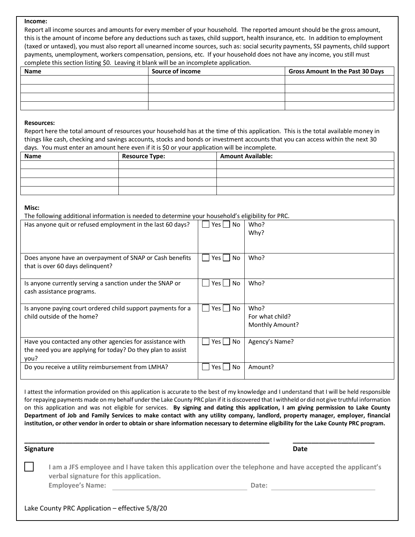## **Income:**

Report all income sources and amounts for every member of your household. The reported amount should be the gross amount, this is the amount of income before any deductions such as taxes, child support, health insurance, etc. In addition to employment (taxed or untaxed), you must also report all unearned income sources, such as: social security payments, SSI payments, child support payments, unemployment, workers compensation, pensions, etc. If your household does not have any income, you still must complete this section listing \$0. Leaving it blank will be an incomplete application.

| Name | Source of income | <b>Gross Amount In the Past 30 Days</b> |
|------|------------------|-----------------------------------------|
|      |                  |                                         |
|      |                  |                                         |
|      |                  |                                         |
|      |                  |                                         |

#### **Resources:**

Report here the total amount of resources your household has at the time of this application. This is the total available money in things like cash, checking and savings accounts, stocks and bonds or investment accounts that you can access within the next 30 days. You must enter an amount here even if it is \$0 or your application will be incomplete.

| Name | <b>Resource Type:</b> | <b>Amount Available:</b> |  |
|------|-----------------------|--------------------------|--|
|      |                       |                          |  |
|      |                       |                          |  |
|      |                       |                          |  |
|      |                       |                          |  |

### **Misc:**

The following additional information is needed to determine your household's eligibility for PRC.

| Has anyone quit or refused employment in the last 60 days?                                                                       | Yes    <br>No. | Who?<br>Why?                               |
|----------------------------------------------------------------------------------------------------------------------------------|----------------|--------------------------------------------|
| Does anyone have an overpayment of SNAP or Cash benefits<br>that is over 60 days delinquent?                                     | Yes l<br>No.   | Who?                                       |
| Is anyone currently serving a sanction under the SNAP or<br>cash assistance programs.                                            | No.<br>Yes [   | Who?                                       |
| Is anyone paying court ordered child support payments for a<br>child outside of the home?                                        | Yes  <br>No.   | Who?<br>For what child?<br>Monthly Amount? |
| Have you contacted any other agencies for assistance with<br>the need you are applying for today? Do they plan to assist<br>you? | Yes     No     | Agency's Name?                             |
| Do you receive a utility reimbursement from LMHA?                                                                                | No<br>Yes I    | Amount?                                    |

I attest the information provided on this application is accurate to the best of my knowledge and I understand that I will be held responsible for repaying payments made on my behalf under the Lake County PRC plan if it is discovered that I withheld or did not give truthful information on this application and was not eligible for services. **By signing and dating this application, I am giving permission to Lake County Department of Job and Family Services to make contact with any utility company, landlord, property manager, employer, financial institution, or other vendor in order to obtain or share information necessary to determine eligibility for the Lake County PRC program.**

**\_\_\_\_\_\_\_\_\_\_\_\_\_\_\_\_\_\_\_\_\_\_\_\_\_\_\_\_\_\_\_\_\_\_\_\_\_\_\_\_\_\_\_\_\_\_\_\_\_\_\_\_\_\_\_\_\_\_\_\_\_\_\_\_\_\_ \_\_\_\_\_\_\_\_\_\_\_\_\_\_\_\_\_\_\_\_\_\_**

## **Signature Date**

**I am a JFS employee and I have taken this application over the telephone and have accepted the applicant's verbal signature for this application. Employee's Name: Date:**

Lake County PRC Application – effective 5/8/20